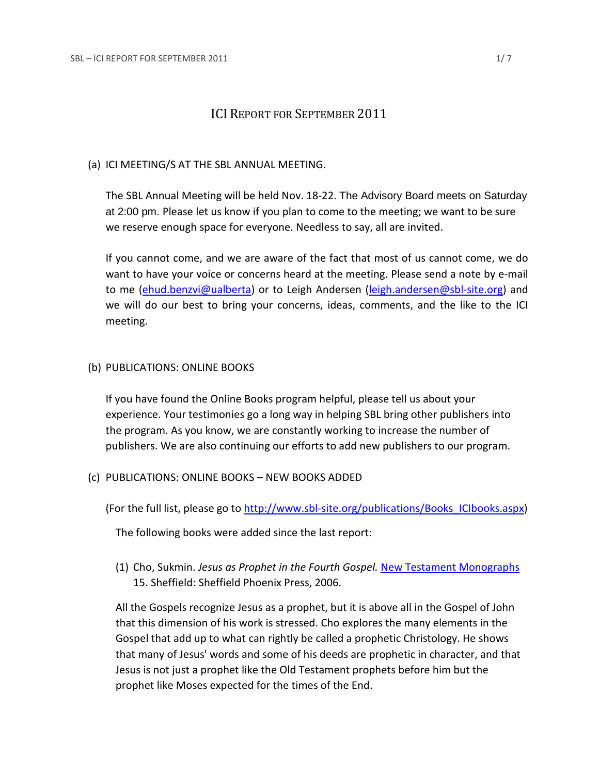# ICI REPORT FOR SEPTEMBER 2011

## (a) ICI MEETING/S AT THE SBL ANNUAL MEETING.

The SBL Annual Meeting will be held Nov. 18-22. The Advisory Board meets on Saturday at 2:00 pm. Please let us know if you plan to come to the meeting; we want to be sure we reserve enough space for everyone. Needless to say, all are invited.

If you cannot come, and we are aware of the fact that most of us cannot come, we do want to have your voice or concerns heard at the meeting. Please send a note by e-mail to me (ehud.benzvi@ualberta) or to Leigh Andersen (leigh.andersen@sbl-site.org) and we will do our best to bring your concerns, ideas, comments, and the like to the ICI meeting.

## (b) PUBLICATIONS: ONLINE BOOKS

If you have found the Online Books program helpful, please tell us about your experience. Your testimonies go a long way in helping SBL bring other publishers into the program. As you know, we are constantly working to increase the number of publishers. We are also continuing our efforts to add new publishers to our program.

## (c) PUBLICATIONS: ONLINE BOOKS – NEW BOOKS ADDED

(For the full list, please go to http://www.sbl-site.org/publications/Books\_ICIbooks.aspx)

The following books were added since the last report:

(1) Cho, Sukmin. *Jesus as Prophet in the Fourth Gospel.* New Testament Monographs 15. Sheffield: Sheffield Phoenix Press, 2006.

All the Gospels recognize Jesus as a prophet, but it is above all in the Gospel of John that this dimension of his work is stressed. Cho explores the many elements in the Gospel that add up to what can rightly be called a prophetic Christology. He shows that many of Jesus' words and some of his deeds are prophetic in character, and that Jesus is not just a prophet like the Old Testament prophets before him but the prophet like Moses expected for the times of the End.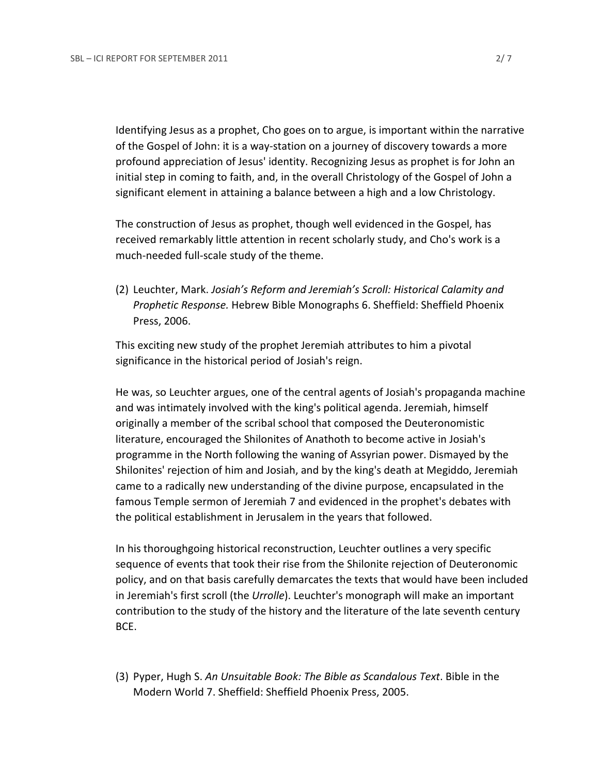Identifying Jesus as a prophet, Cho goes on to argue, is important within the narrative of the Gospel of John: it is a way-station on a journey of discovery towards a more profound appreciation of Jesus' identity. Recognizing Jesus as prophet is for John an initial step in coming to faith, and, in the overall Christology of the Gospel of John a significant element in attaining a balance between a high and a low Christology.

The construction of Jesus as prophet, though well evidenced in the Gospel, has received remarkably little attention in recent scholarly study, and Cho's work is a much-needed full-scale study of the theme.

(2) Leuchter, Mark. *Josiah's Reform and Jeremiah's Scroll: Historical Calamity and Prophetic Response.* Hebrew Bible Monographs 6. Sheffield: Sheffield Phoenix Press, 2006.

This exciting new study of the prophet Jeremiah attributes to him a pivotal significance in the historical period of Josiah's reign.

He was, so Leuchter argues, one of the central agents of Josiah's propaganda machine and was intimately involved with the king's political agenda. Jeremiah, himself originally a member of the scribal school that composed the Deuteronomistic literature, encouraged the Shilonites of Anathoth to become active in Josiah's programme in the North following the waning of Assyrian power. Dismayed by the Shilonites' rejection of him and Josiah, and by the king's death at Megiddo, Jeremiah came to a radically new understanding of the divine purpose, encapsulated in the famous Temple sermon of Jeremiah 7 and evidenced in the prophet's debates with the political establishment in Jerusalem in the years that followed.

In his thoroughgoing historical reconstruction, Leuchter outlines a very specific sequence of events that took their rise from the Shilonite rejection of Deuteronomic policy, and on that basis carefully demarcates the texts that would have been included in Jeremiah's first scroll (the *Urrolle*). Leuchter's monograph will make an important contribution to the study of the history and the literature of the late seventh century BCE.

(3) Pyper, Hugh S. *An Unsuitable Book: The Bible as Scandalous Text*. Bible in the Modern World 7. Sheffield: Sheffield Phoenix Press, 2005.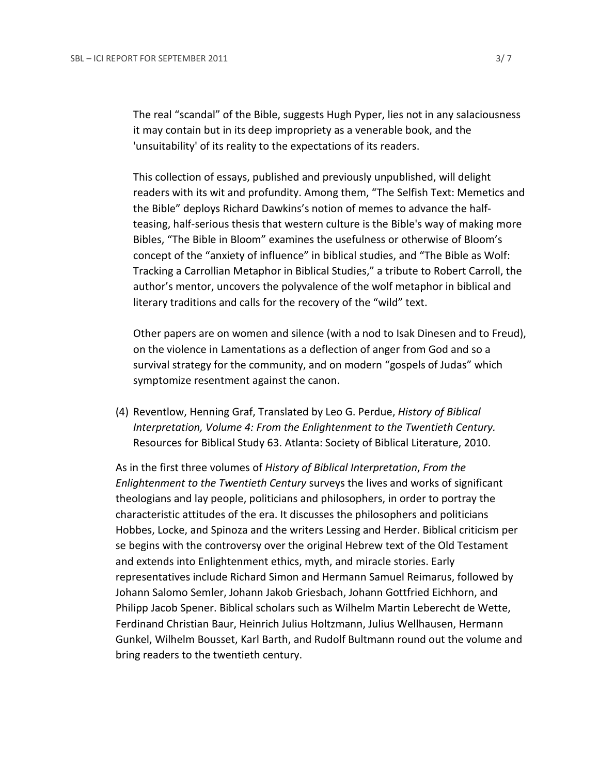The real "scandal" of the Bible, suggests Hugh Pyper, lies not in any salaciousness it may contain but in its deep impropriety as a venerable book, and the 'unsuitability' of its reality to the expectations of its readers.

This collection of essays, published and previously unpublished, will delight readers with its wit and profundity. Among them, "The Selfish Text: Memetics and the Bible" deploys Richard Dawkins's notion of memes to advance the halfteasing, half-serious thesis that western culture is the Bible's way of making more Bibles, "The Bible in Bloom" examines the usefulness or otherwise of Bloom's concept of the "anxiety of influence" in biblical studies, and "The Bible as Wolf: Tracking a Carrollian Metaphor in Biblical Studies," a tribute to Robert Carroll, the author's mentor, uncovers the polyvalence of the wolf metaphor in biblical and literary traditions and calls for the recovery of the "wild" text.

Other papers are on women and silence (with a nod to Isak Dinesen and to Freud), on the violence in Lamentations as a deflection of anger from God and so a survival strategy for the community, and on modern "gospels of Judas" which symptomize resentment against the canon.

(4) Reventlow, Henning Graf, Translated by Leo G. Perdue, *History of Biblical Interpretation, Volume 4: From the Enlightenment to the Twentieth Century.* Resources for Biblical Study 63. Atlanta: Society of Biblical Literature, 2010.

As in the first three volumes of *History of Biblical Interpretation*, *From the Enlightenment to the Twentieth Century* surveys the lives and works of significant theologians and lay people, politicians and philosophers, in order to portray the characteristic attitudes of the era. It discusses the philosophers and politicians Hobbes, Locke, and Spinoza and the writers Lessing and Herder. Biblical criticism per se begins with the controversy over the original Hebrew text of the Old Testament and extends into Enlightenment ethics, myth, and miracle stories. Early representatives include Richard Simon and Hermann Samuel Reimarus, followed by Johann Salomo Semler, Johann Jakob Griesbach, Johann Gottfried Eichhorn, and Philipp Jacob Spener. Biblical scholars such as Wilhelm Martin Leberecht de Wette, Ferdinand Christian Baur, Heinrich Julius Holtzmann, Julius Wellhausen, Hermann Gunkel, Wilhelm Bousset, Karl Barth, and Rudolf Bultmann round out the volume and bring readers to the twentieth century.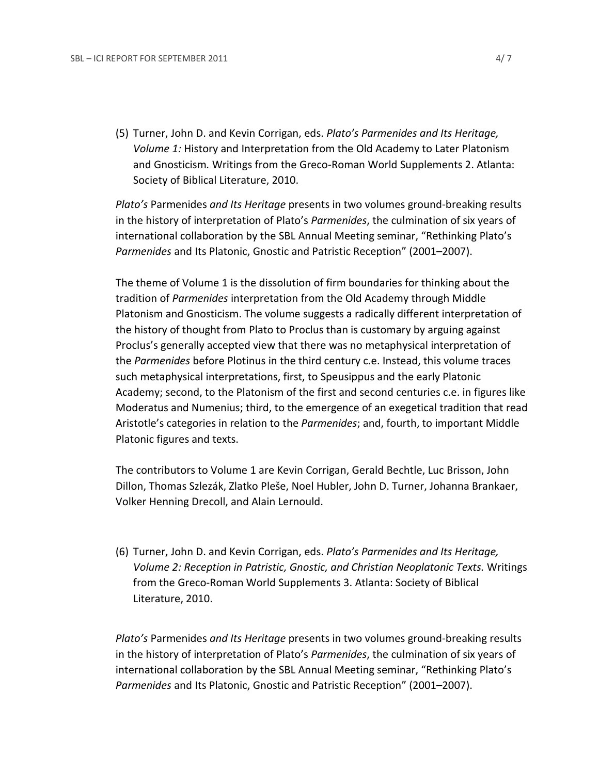(5) Turner, John D. and Kevin Corrigan, eds. *Plato's Parmenides and Its Heritage, Volume 1:* History and Interpretation from the Old Academy to Later Platonism and Gnosticism*.* Writings from the Greco-Roman World Supplements 2. Atlanta: Society of Biblical Literature, 2010.

*Plato's* Parmenides *and Its Heritage* presents in two volumes ground-breaking results in the history of interpretation of Plato's *Parmenides*, the culmination of six years of international collaboration by the SBL Annual Meeting seminar, "Rethinking Plato's *Parmenides* and Its Platonic, Gnostic and Patristic Reception" (2001–2007).

The theme of Volume 1 is the dissolution of firm boundaries for thinking about the tradition of *Parmenides* interpretation from the Old Academy through Middle Platonism and Gnosticism. The volume suggests a radically different interpretation of the history of thought from Plato to Proclus than is customary by arguing against Proclus's generally accepted view that there was no metaphysical interpretation of the *Parmenides* before Plotinus in the third century c.e. Instead, this volume traces such metaphysical interpretations, first, to Speusippus and the early Platonic Academy; second, to the Platonism of the first and second centuries c.e. in figures like Moderatus and Numenius; third, to the emergence of an exegetical tradition that read Aristotle's categories in relation to the *Parmenides*; and, fourth, to important Middle Platonic figures and texts.

The contributors to Volume 1 are Kevin Corrigan, Gerald Bechtle, Luc Brisson, John Dillon, Thomas Szlezák, Zlatko Pleše, Noel Hubler, John D. Turner, Johanna Brankaer, Volker Henning Drecoll, and Alain Lernould.

(6) Turner, John D. and Kevin Corrigan, eds. *Plato's Parmenides and Its Heritage, Volume 2: Reception in Patristic, Gnostic, and Christian Neoplatonic Texts.* Writings from the Greco-Roman World Supplements 3. Atlanta: Society of Biblical Literature, 2010.

*Plato's* Parmenides *and Its Heritage* presents in two volumes ground-breaking results in the history of interpretation of Plato's *Parmenides*, the culmination of six years of international collaboration by the SBL Annual Meeting seminar, "Rethinking Plato's *Parmenides* and Its Platonic, Gnostic and Patristic Reception" (2001–2007).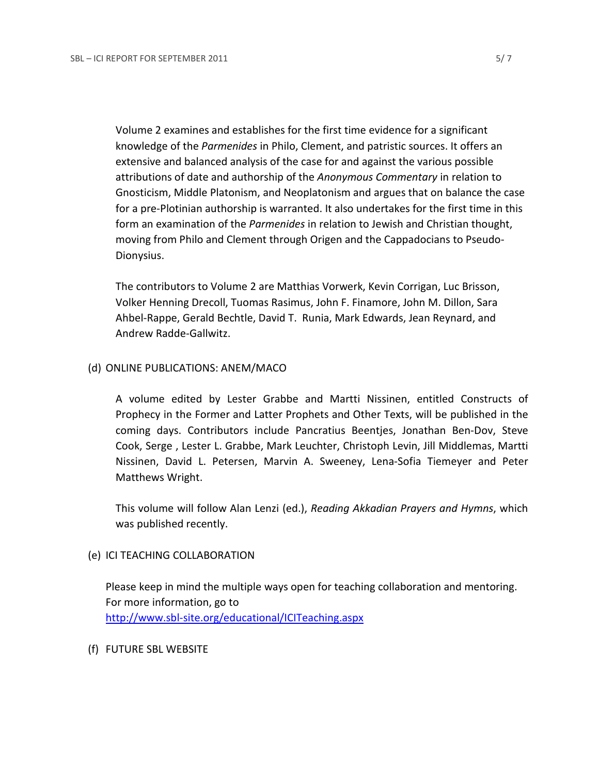Volume 2 examines and establishes for the first time evidence for a significant knowledge of the *Parmenides* in Philo, Clement, and patristic sources. It offers an extensive and balanced analysis of the case for and against the various possible attributions of date and authorship of the *Anonymous Commentary* in relation to Gnosticism, Middle Platonism, and Neoplatonism and argues that on balance the case for a pre-Plotinian authorship is warranted. It also undertakes for the first time in this form an examination of the *Parmenides* in relation to Jewish and Christian thought, moving from Philo and Clement through Origen and the Cappadocians to Pseudo-Dionysius.

The contributors to Volume 2 are Matthias Vorwerk, Kevin Corrigan, Luc Brisson, Volker Henning Drecoll, Tuomas Rasimus, John F. Finamore, John M. Dillon, Sara Ahbel-Rappe, Gerald Bechtle, David T. Runia, Mark Edwards, Jean Reynard, and Andrew Radde-Gallwitz.

#### (d) ONLINE PUBLICATIONS: ANEM/MACO

A volume edited by Lester Grabbe and Martti Nissinen, entitled Constructs of Prophecy in the Former and Latter Prophets and Other Texts, will be published in the coming days. Contributors include Pancratius Beentjes, Jonathan Ben-Dov, Steve Cook, Serge , Lester L. Grabbe, Mark Leuchter, Christoph Levin, Jill Middlemas, Martti Nissinen, David L. Petersen, Marvin A. Sweeney, Lena-Sofia Tiemeyer and Peter Matthews Wright.

This volume will follow Alan Lenzi (ed.), *Reading Akkadian Prayers and Hymns*, which was published recently.

# (e) ICI TEACHING COLLABORATION

Please keep in mind the multiple ways open for teaching collaboration and mentoring. For more information, go to http://www.sbl-site.org/educational/ICITeaching.aspx

#### (f) FUTURE SBL WEBSITE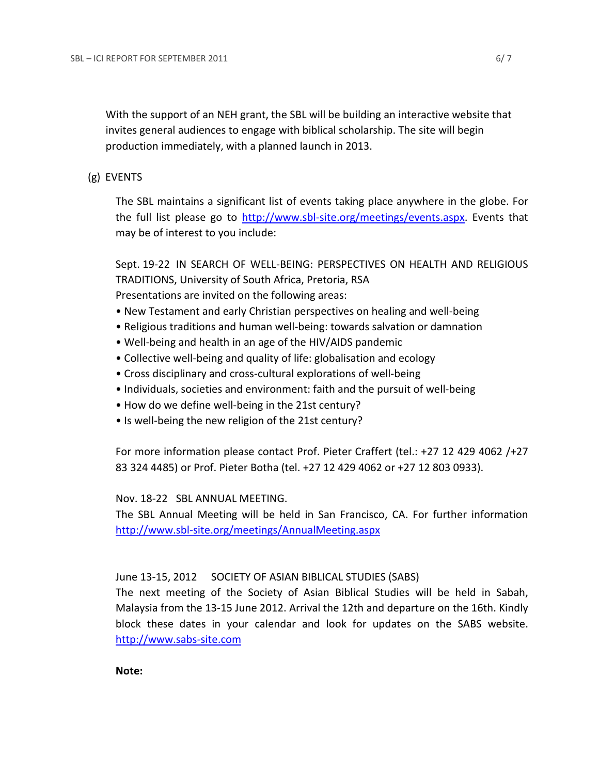With the support of an NEH grant, the SBL will be building an interactive website that invites general audiences to engage with biblical scholarship. The site will begin production immediately, with a planned launch in 2013.

# (g) EVENTS

The SBL maintains a significant list of events taking place anywhere in the globe. For the full list please go to http://www.sbl-site.org/meetings/events.aspx. Events that may be of interest to you include:

Sept. 19-22 IN SEARCH OF WELL-BEING: PERSPECTIVES ON HEALTH AND RELIGIOUS TRADITIONS, University of South Africa, Pretoria, RSA Presentations are invited on the following areas:

- New Testament and early Christian perspectives on healing and well-being
- Religious traditions and human well-being: towards salvation or damnation
- Well-being and health in an age of the HIV/AIDS pandemic
- Collective well-being and quality of life: globalisation and ecology
- Cross disciplinary and cross-cultural explorations of well-being
- Individuals, societies and environment: faith and the pursuit of well-being
- How do we define well-being in the 21st century?
- Is well-being the new religion of the 21st century?

For more information please contact Prof. Pieter Craffert (tel.: +27 12 429 4062 /+27 83 324 4485) or Prof. Pieter Botha (tel. +27 12 429 4062 or +27 12 803 0933).

Nov. 18-22 SBL ANNUAL MEETING.

The SBL Annual Meeting will be held in San Francisco, CA. For further information http://www.sbl-site.org/meetings/AnnualMeeting.aspx

# June 13-15, 2012 SOCIETY OF ASIAN BIBLICAL STUDIES (SABS)

The next meeting of the Society of Asian Biblical Studies will be held in Sabah, Malaysia from the 13-15 June 2012. Arrival the 12th and departure on the 16th. Kindly block these dates in your calendar and look for updates on the SABS website. http://www.sabs-site.com

**Note:**